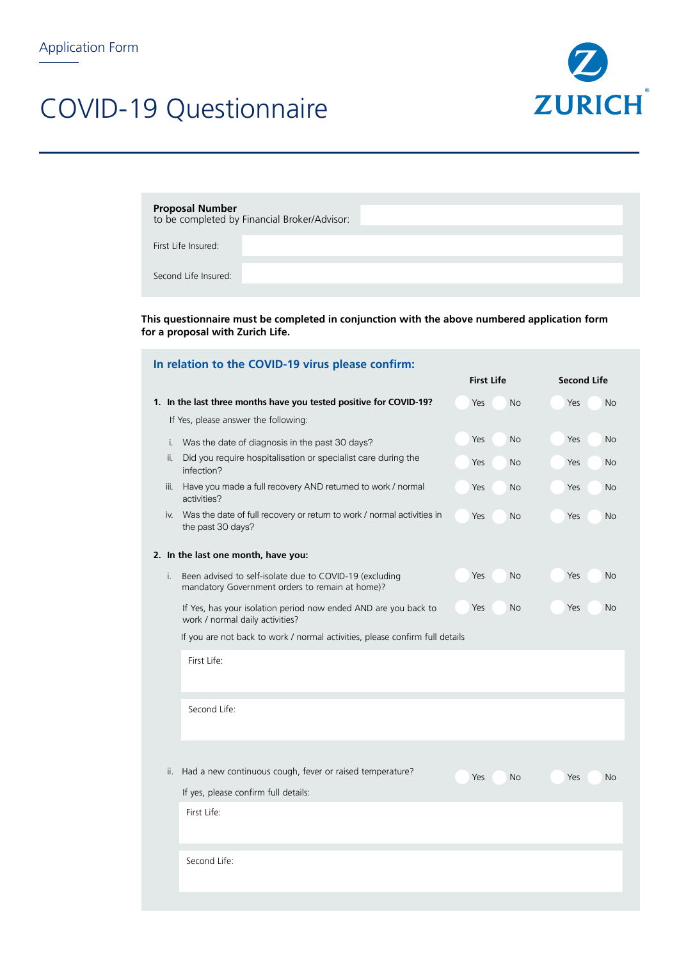## COVID-19 Questionnaire



| <b>Proposal Number</b> |                                              |
|------------------------|----------------------------------------------|
|                        | to be completed by Financial Broker/Advisor: |

First Life Insured:

Second Life Insured:

**This questionnaire must be completed in conjunction with the above numbered application form for a proposal with Zurich Life.** 

|      | In relation to the COVID-19 virus please confirm:                                                          |                   |                    |  |
|------|------------------------------------------------------------------------------------------------------------|-------------------|--------------------|--|
|      |                                                                                                            | <b>First Life</b> | <b>Second Life</b> |  |
|      | 1. In the last three months have you tested positive for COVID-19?                                         | Yes<br><b>No</b>  | Yes<br><b>No</b>   |  |
|      | If Yes, please answer the following:                                                                       |                   |                    |  |
| i.   | Was the date of diagnosis in the past 30 days?                                                             | <b>No</b><br>Yes  | Yes<br><b>No</b>   |  |
| ii.  | Did you require hospitalisation or specialist care during the<br>infection?                                | Yes<br>No         | Yes<br>No          |  |
| iii. | Have you made a full recovery AND returned to work / normal<br>activities?                                 | Yes<br><b>No</b>  | Yes<br><b>No</b>   |  |
| iv.  | Was the date of full recovery or return to work / normal activities in<br>the past 30 days?                | Yes<br><b>No</b>  | Yes<br>No          |  |
|      | 2. In the last one month, have you:                                                                        |                   |                    |  |
| i.   | Been advised to self-isolate due to COVID-19 (excluding<br>mandatory Government orders to remain at home)? | Yes<br><b>No</b>  | Yes<br><b>No</b>   |  |
|      | If Yes, has your isolation period now ended AND are you back to<br>work / normal daily activities?         | Yes<br><b>No</b>  | Yes<br><b>No</b>   |  |
|      | If you are not back to work / normal activities, please confirm full details                               |                   |                    |  |
|      | First Life:                                                                                                |                   |                    |  |
|      | Second Life:                                                                                               |                   |                    |  |
|      |                                                                                                            |                   |                    |  |
| ii.  | Had a new continuous cough, fever or raised temperature?                                                   | Yes<br><b>No</b>  | Yes<br><b>No</b>   |  |
|      | If yes, please confirm full details:                                                                       |                   |                    |  |
|      | First Life:                                                                                                |                   |                    |  |
|      | Second Life:                                                                                               |                   |                    |  |
|      |                                                                                                            |                   |                    |  |